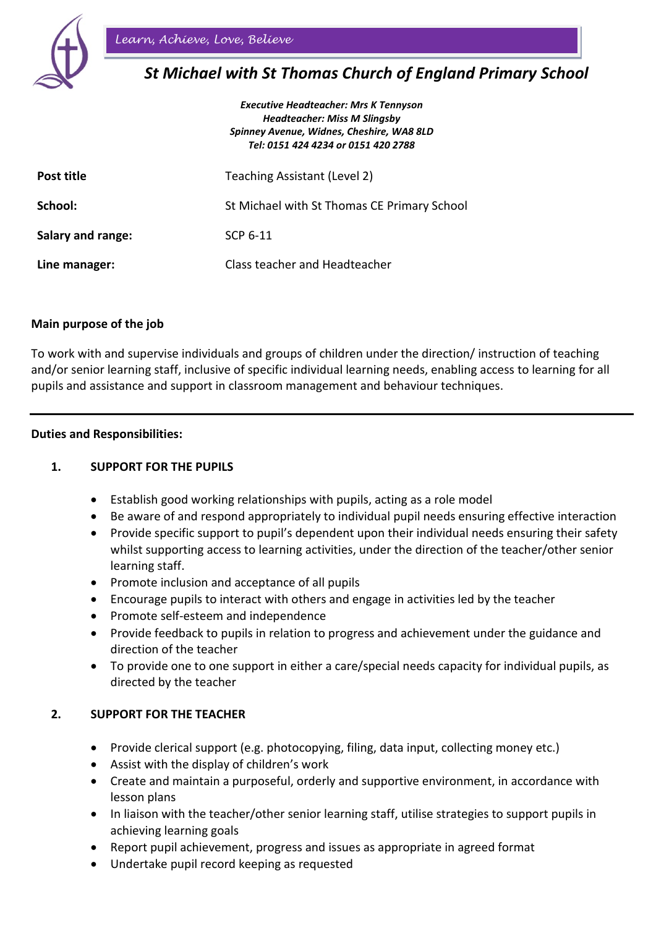

# *St Michael with St Thomas Church of England Primary School*

|                   | <b>Executive Headteacher: Mrs K Tennyson</b><br><b>Headteacher: Miss M Slingsby</b><br>Spinney Avenue, Widnes, Cheshire, WA8 8LD<br>Tel: 0151 424 4234 or 0151 420 2788 |
|-------------------|-------------------------------------------------------------------------------------------------------------------------------------------------------------------------|
| Post title        | Teaching Assistant (Level 2)                                                                                                                                            |
| School:           | St Michael with St Thomas CE Primary School                                                                                                                             |
| Salary and range: | SCP 6-11                                                                                                                                                                |
| Line manager:     | Class teacher and Headteacher                                                                                                                                           |

### **Main purpose of the job**

To work with and supervise individuals and groups of children under the direction/ instruction of teaching and/or senior learning staff, inclusive of specific individual learning needs, enabling access to learning for all pupils and assistance and support in classroom management and behaviour techniques.

#### **Duties and Responsibilities:**

## **1. SUPPORT FOR THE PUPILS**

- Establish good working relationships with pupils, acting as a role model
- Be aware of and respond appropriately to individual pupil needs ensuring effective interaction
- Provide specific support to pupil's dependent upon their individual needs ensuring their safety whilst supporting access to learning activities, under the direction of the teacher/other senior learning staff.
- Promote inclusion and acceptance of all pupils
- Encourage pupils to interact with others and engage in activities led by the teacher
- Promote self-esteem and independence
- Provide feedback to pupils in relation to progress and achievement under the guidance and direction of the teacher
- To provide one to one support in either a care/special needs capacity for individual pupils, as directed by the teacher

#### **2. SUPPORT FOR THE TEACHER**

- Provide clerical support (e.g. photocopying, filing, data input, collecting money etc.)
- Assist with the display of children's work
- Create and maintain a purposeful, orderly and supportive environment, in accordance with lesson plans
- In liaison with the teacher/other senior learning staff, utilise strategies to support pupils in achieving learning goals
- Report pupil achievement, progress and issues as appropriate in agreed format
- Undertake pupil record keeping as requested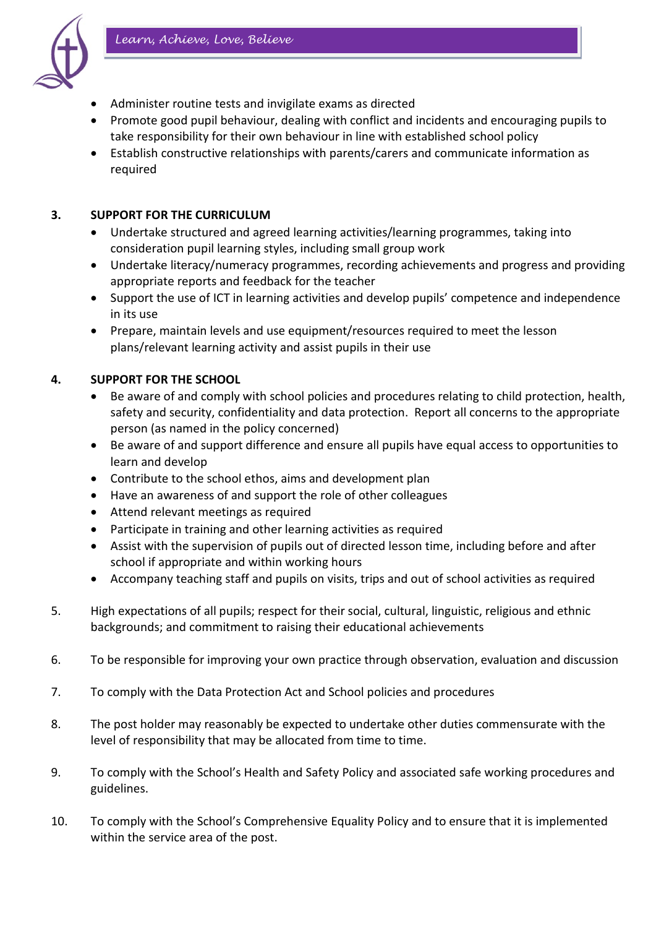

- Administer routine tests and invigilate exams as directed
- Promote good pupil behaviour, dealing with conflict and incidents and encouraging pupils to take responsibility for their own behaviour in line with established school policy
- Establish constructive relationships with parents/carers and communicate information as required

## **3. SUPPORT FOR THE CURRICULUM**

- Undertake structured and agreed learning activities/learning programmes, taking into consideration pupil learning styles, including small group work
- Undertake literacy/numeracy programmes, recording achievements and progress and providing appropriate reports and feedback for the teacher
- Support the use of ICT in learning activities and develop pupils' competence and independence in its use
- Prepare, maintain levels and use equipment/resources required to meet the lesson plans/relevant learning activity and assist pupils in their use

# **4. SUPPORT FOR THE SCHOOL**

- Be aware of and comply with school policies and procedures relating to child protection, health, safety and security, confidentiality and data protection. Report all concerns to the appropriate person (as named in the policy concerned)
- Be aware of and support difference and ensure all pupils have equal access to opportunities to learn and develop
- Contribute to the school ethos, aims and development plan
- Have an awareness of and support the role of other colleagues
- Attend relevant meetings as required
- Participate in training and other learning activities as required
- Assist with the supervision of pupils out of directed lesson time, including before and after school if appropriate and within working hours
- Accompany teaching staff and pupils on visits, trips and out of school activities as required
- 5. High expectations of all pupils; respect for their social, cultural, linguistic, religious and ethnic backgrounds; and commitment to raising their educational achievements
- 6. To be responsible for improving your own practice through observation, evaluation and discussion
- 7. To comply with the Data Protection Act and School policies and procedures
- 8. The post holder may reasonably be expected to undertake other duties commensurate with the level of responsibility that may be allocated from time to time.
- 9. To comply with the School's Health and Safety Policy and associated safe working procedures and guidelines.
- 10. To comply with the School's Comprehensive Equality Policy and to ensure that it is implemented within the service area of the post.